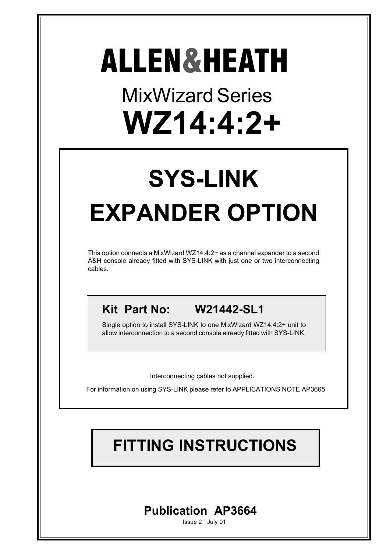# MixWizard Series **WZ14:4:2+** ALLEN&HEATH

# **SYS-LINK EXPANDER OPTION**

This option connects a MixWizard WZ14:4:2+ as a channel expander to a second A&H console already fitted with SYS-LINK with just one or two interconnecting cables.

**Kit Part No: W21442-SL1**

Single option to install SYS-LINK to one MixWizard WZ14:4:2+ unit to allow interconnection to a second console already fitted with SYS-LINK.

Interconnecting cables not supplied.

For information on using SYS-LINK please refer to APPLICATIONS NOTE AP3665

# **FITTING INSTRUCTIONS**

## **Publication AP3664**

Issue 2 July 01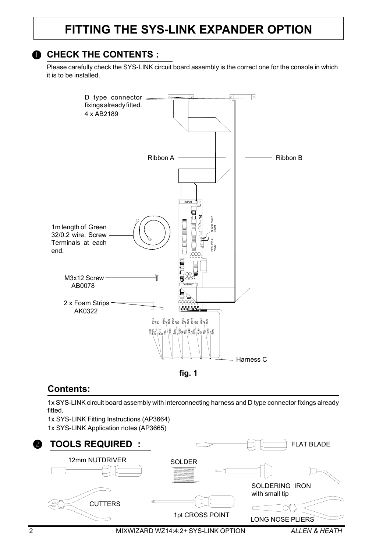### **FITTING THE SYS-LINK EXPANDER OPTION**

#### **O** CHECK THE CONTENTS :

Please carefully check the SYS-LINK circuit board assembly is the correct one for the console in which it is to be installed.





#### **Contents:**

1x SYS-LINK circuit board assembly with interconnecting harness and D type connector fixings already fitted.

1x SYS-LINK Fitting Instructions (AP3664) 1x SYS-LINK Application notes (AP3665)

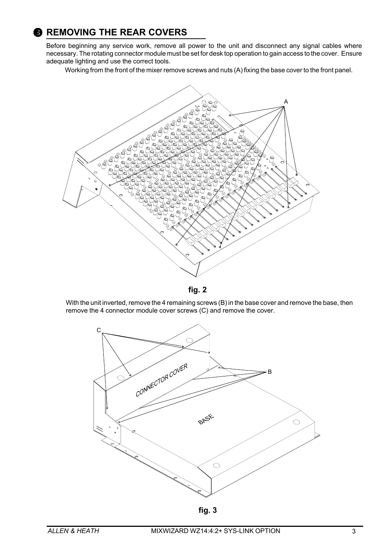### **8 REMOVING THE REAR COVERS**

Before beginning any service work, remove all power to the unit and disconnect any signal cables where necessary. The rotating connector module must be set for desk top operation to gain access to the cover. Ensure adequate lighting and use the correct tools.

Working from the front of the mixer remove screws and nuts (A) fixing the base cover to the front panel.



**fig. 2**

With the unit inverted, remove the 4 remaining screws (B) in the base cover and remove the base, then remove the 4 connector module cover screws (C) and remove the cover.



**fig. 3**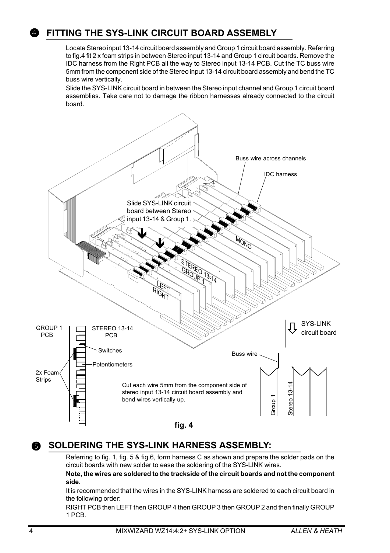Locate Stereo input 13-14 circuit board assembly and Group 1 circuit board assembly. Referring to fig.4 fit 2 x foam strips in between Stereo input 13-14 and Group 1 circuit boards. Remove the IDC harness from the Right PCB all the way to Stereo input 13-14 PCB. Cut the TC buss wire 5mm from the component side of the Stereo input 13-14 circuit board assembly and bend the TC buss wire vertically.

Slide the SYS-LINK circuit board in between the Stereo input channel and Group 1 circuit board assemblies. Take care not to damage the ribbon harnesses already connected to the circuit board.



#### **SOLDERING THE SYS-LINK HARNESS ASSEMBLY:**  $\bullet$

Referring to fig. 1, fig. 5 & fig.6, form harness C as shown and prepare the solder pads on the circuit boards with new solder to ease the soldering of the SYS-LINK wires.

#### **Note, the wires are soldered to the trackside of the circuit boards and not the component side.**

It is recommended that the wires in the SYS-LINK harness are soldered to each circuit board in the following order:

RIGHT PCB then LEFT then GROUP 4 then GROUP 3 then GROUP 2 and then finally GROUP 1 PCB.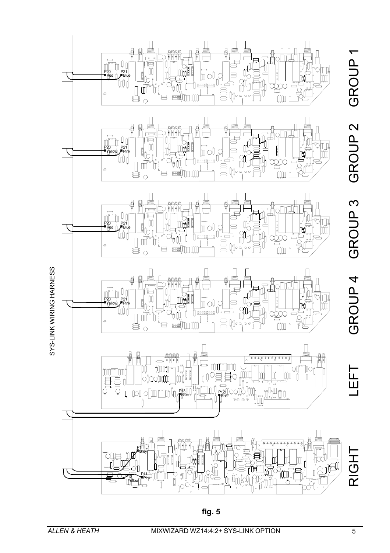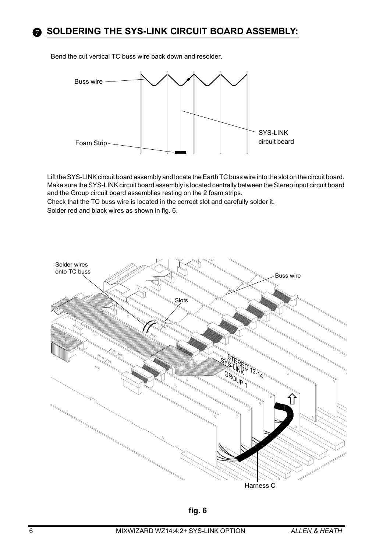

Bend the cut vertical TC buss wire back down and resolder.



Lift the SYS-LINK circuit board assembly and locate the Earth TC buss wire into the slot on the circuit board. Make sure the SYS-LINK circuit board assembly is located centrally between the Stereo input circuit board and the Group circuit board assemblies resting on the 2 foam strips.

Check that the TC buss wire is located in the correct slot and carefully solder it.

Solder red and black wires as shown in fig. 6.

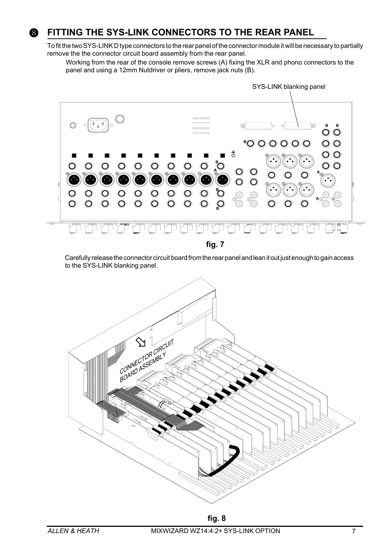

#### **FITTING THE SYS-LINK CONNECTORS TO THE REAR PANEL**

To fit the two SYS-LINK D type connectors to the rear panel of the connector module it will be necessary to partially remove the the connector circuit board assembly from the rear panel.

Working from the rear of the console remove screws (A) fixing the XLR and phono connectors to the panel and using a 12mm Nutdriver or pliers, remove jack nuts (B).



Carefully release the connector circuit board from the rear panel and lean it out just enough to gain access to the SYS-LINK blanking panel.



**fig. 8**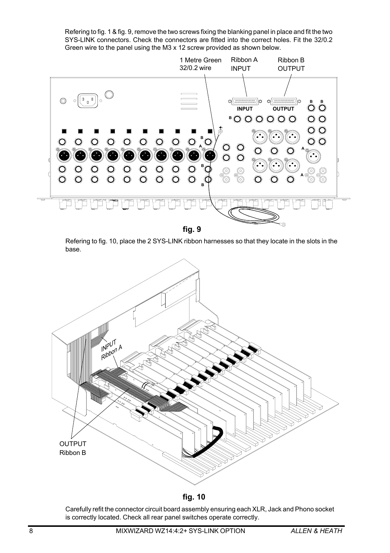Refering to fig. 1 & fig. 9, remove the two screws fixing the blanking panel in place and fit the two SYS-LINK connectors. Check the connectors are fitted into the correct holes. Fit the 32/0.2 Green wire to the panel using the M3 x 12 screw provided as shown below.



Refering to fig. 10, place the 2 SYS-LINK ribbon harnesses so that they locate in the slots in the base.



**fig. 10**

Carefully refit the connector circuit board assembly ensuring each XLR, Jack and Phono socket is correctly located. Check all rear panel switches operate correctly.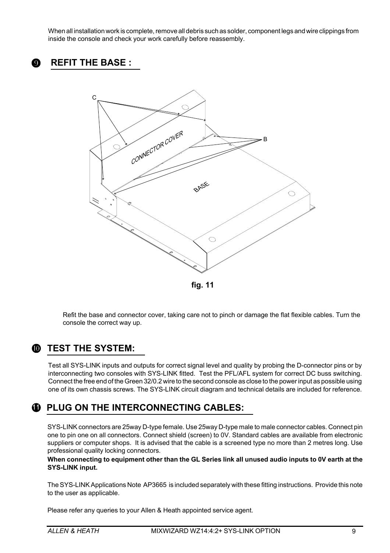When all installation work is complete, remove all debris such as solder, component legs and wire clippings from inside the console and check your work carefully before reassembly.





**fig. 11**

Refit the base and connector cover, taking care not to pinch or damage the flat flexible cables. Turn the console the correct way up.

### **<sup><b>W**</sup> TEST THE SYSTEM:

Test all SYS-LINK inputs and outputs for correct signal level and quality by probing the D-connector pins or by interconnecting two consoles with SYS-LINK fitted. Test the PFL/AFL system for correct DC buss switching. Connect the free end of the Green 32/0.2 wire to the second console as close to the power input as possible using one of its own chassis screws. The SYS-LINK circuit diagram and technical details are included for reference.

#### **PLUG ON THE INTERCONNECTING CABLES: 1 1**

SYS-LINK connectors are 25way D-type female. Use 25way D-type male to male connector cables. Connect pin one to pin one on all connectors. Connect shield (screen) to 0V. Standard cables are available from electronic suppliers or computer shops. It is advised that the cable is a screened type no more than 2 metres long. Use professional quality locking connectors.

**When connecting to equipment other than the GL Series link all unused audio inputs to 0V earth at the SYS-LINK input.**

The SYS-LINK Applications Note AP3665 is included separately with these fitting instructions. Provide this note to the user as applicable.

Please refer any queries to your Allen & Heath appointed service agent.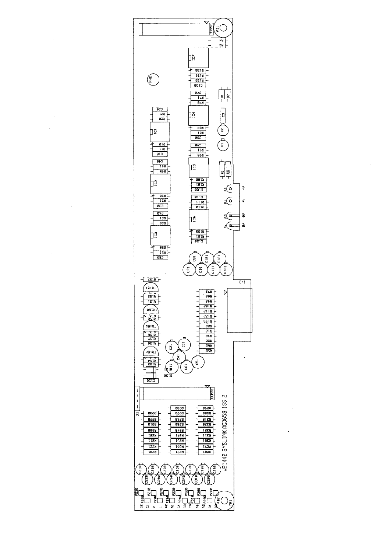

 $\bar{\phantom{a}}$ 

 $\bar{\bar{z}}$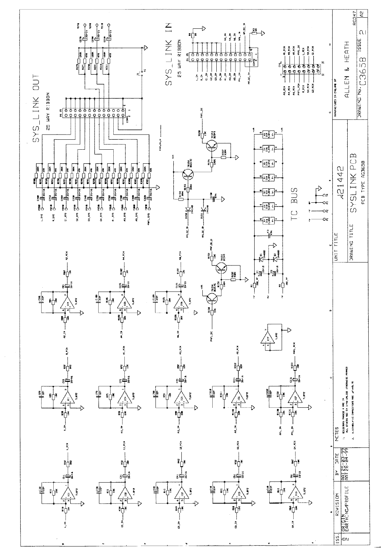